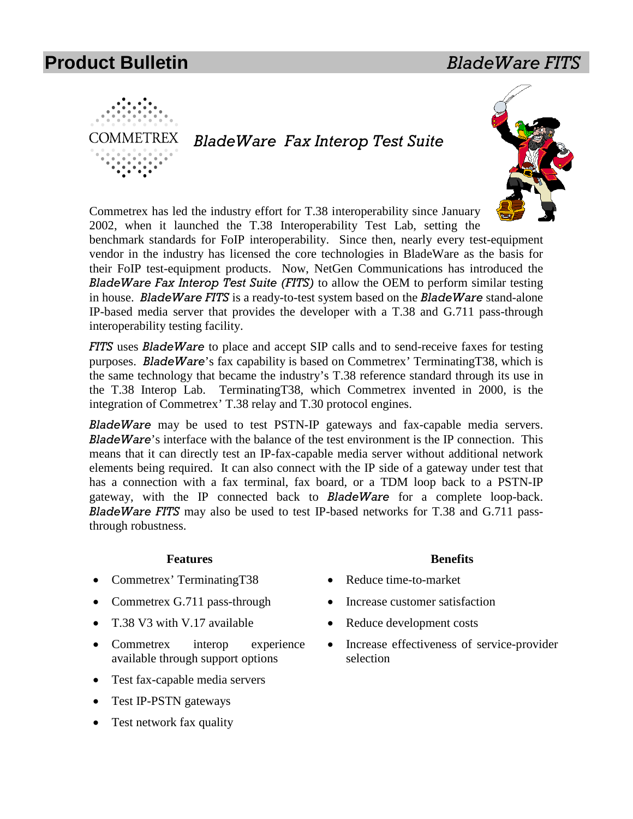



Commetrex has led the industry effort for T.38 interoperability since January 2002, when it launched the T.38 Interoperability Test Lab, setting the

benchmark standards for FoIP interoperability. Since then, nearly every test-equipment vendor in the industry has licensed the core technologies in BladeWare as the basis for their FoIP test-equipment products. Now, NetGen Communications has introduced the *BladeWare Fax Interop Test Suite (FITS)* to allow the OEM to perform similar testing in house. *BladeWare FITS* is a ready-to-test system based on the *BladeWare* stand-alone IP-based media server that provides the developer with a T.38 and G.711 pass-through interoperability testing facility.

*FITS* uses *BladeWare* to place and accept SIP calls and to send-receive faxes for testing purposes. *BladeWare*'s fax capability is based on Commetrex' TerminatingT38, which is the same technology that became the industry's T.38 reference standard through its use in the T.38 Interop Lab. TerminatingT38, which Commetrex invented in 2000, is the integration of Commetrex' T.38 relay and T.30 protocol engines.

*BladeWare* may be used to test PSTN-IP gateways and fax-capable media servers. *BladeWare*'s interface with the balance of the test environment is the IP connection. This means that it can directly test an IP-fax-capable media server without additional network elements being required. It can also connect with the IP side of a gateway under test that has a connection with a fax terminal, fax board, or a TDM loop back to a PSTN-IP gateway, with the IP connected back to *BladeWare* for a complete loop-back. *BladeWare FITS* may also be used to test IP-based networks for T.38 and G.711 passthrough robustness.

#### **Features**

- Commetrex' TerminatingT38
- Commetrex G.711 pass-through
- T.38 V3 with V.17 available
- Commetrex interop experience available through support options
- Test fax-capable media servers
- Test IP-PSTN gateways
- Test network fax quality

#### **Benefits**

- Reduce time-to-market
- Increase customer satisfaction
- Reduce development costs
- Increase effectiveness of service-provider selection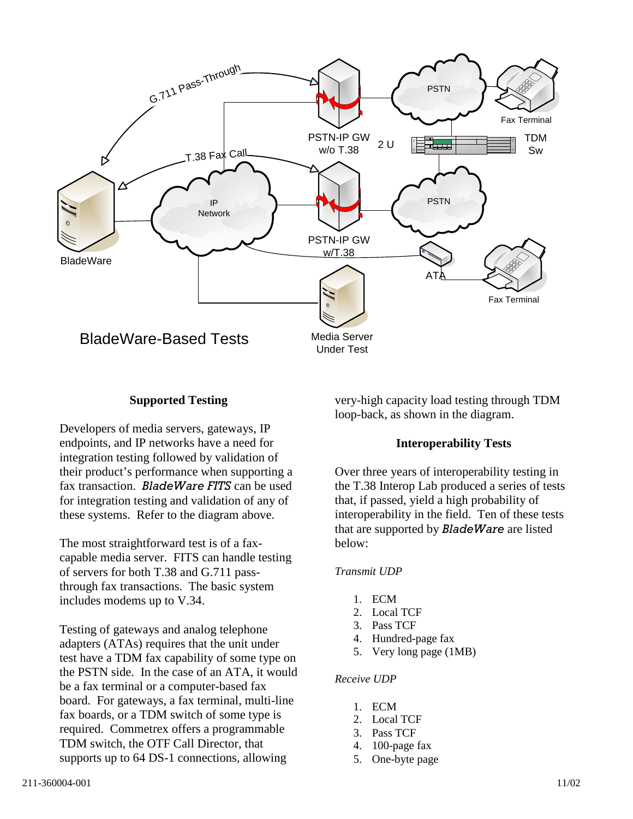

# **Supported Testing**

Developers of media servers, gateways, IP endpoints, and IP networks have a need for integration testing followed by validation of their product's performance when supporting a fax transaction. *BladeWare FITS* can be used for integration testing and validation of any of these systems. Refer to the diagram above.

The most straightforward test is of a faxcapable media server. FITS can handle testing of servers for both T.38 and G.711 passthrough fax transactions. The basic system includes modems up to V.34.

Testing of gateways and analog telephone adapters (ATAs) requires that the unit under test have a TDM fax capability of some type on the PSTN side. In the case of an ATA, it would be a fax terminal or a computer-based fax board. For gateways, a fax terminal, multi-line fax boards, or a TDM switch of some type is required. Commetrex offers a programmable TDM switch, the OTF Call Director, that supports up to 64 DS-1 connections, allowing

very-high capacity load testing through TDM loop-back, as shown in the diagram.

# **Interoperability Tests**

Over three years of interoperability testing in the T.38 Interop Lab produced a series of tests that, if passed, yield a high probability of interoperability in the field. Ten of these tests that are supported by *BladeWare* are listed below:

## *Transmit UDP*

- 1. ECM
- 2. Local TCF
- 3. Pass TCF
- 4. Hundred-page fax
- 5. Very long page (1MB)

#### *Receive UDP*

- 1. ECM
- 2. Local TCF
- 3. Pass TCF
- 4. 100-page fax
- 5. One-byte page